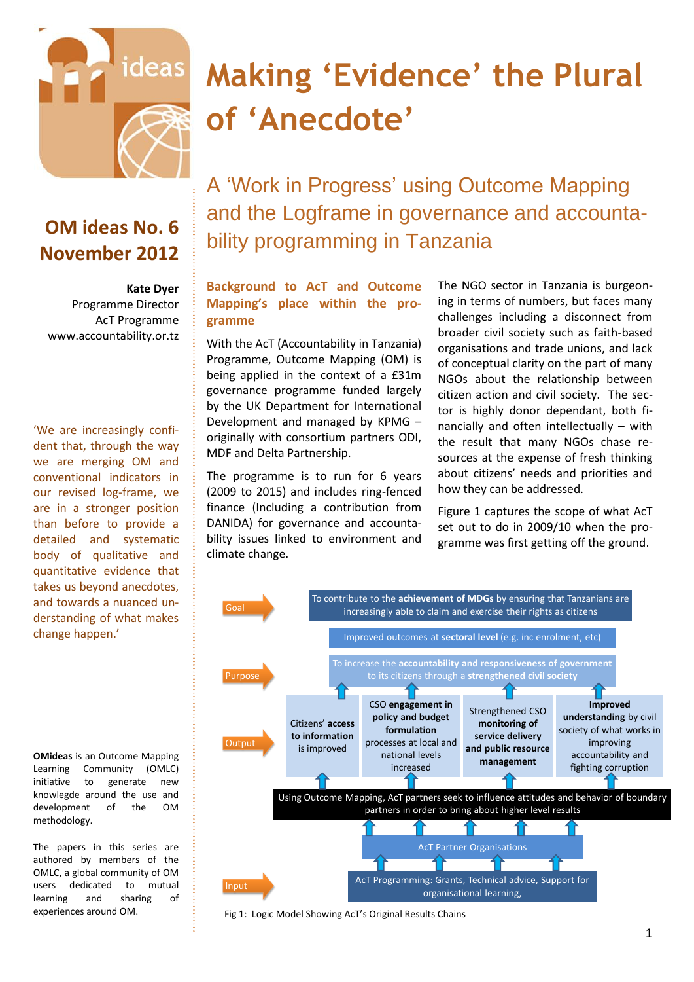

# **Making 'Evidence' the Plural of 'Anecdote'**

# **OM ideas No. 6 November 2012**

#### **Kate Dyer**

Programme Director AcT Programme [www.accountability.or.tz](http://www.accountability.or.tz/)

'We are increasingly confident that, through the way we are merging OM and conventional indicators in our revised log-frame, we are in a stronger position than before to provide a detailed and systematic body of qualitative and quantitative evidence that takes us beyond anecdotes, and towards a nuanced understanding of what makes change happen.'

**OMideas** is an Outcome Mapping Learning Community (OMLC) initiative to generate new knowlegde around the use and development of the OM methodology.

The papers in this series are authored by members of the OMLC, a global community of OM users dedicated to mutual learning and sharing of experiences around OM.

A 'Work in Progress' using Outcome Mapping and the Logframe in governance and accountability programming in Tanzania

# **Background to AcT and Outcome Mapping's place within the programme**

With the AcT (Accountability in Tanzania) Programme, Outcome Mapping (OM) is being applied in the context of a £31m governance programme funded largely by the UK Department for International Development and managed by KPMG – originally with consortium partners ODI, MDF and Delta Partnership.

The programme is to run for 6 years (2009 to 2015) and includes ring-fenced finance (Including a contribution from DANIDA) for governance and accountability issues linked to environment and climate change.

The NGO sector in Tanzania is burgeoning in terms of numbers, but faces many challenges including a disconnect from broader civil society such as faith-based organisations and trade unions, and lack of conceptual clarity on the part of many NGOs about the relationship between citizen action and civil society. The sector is highly donor dependant, both financially and often intellectually – with the result that many NGOs chase resources at the expense of fresh thinking about citizens' needs and priorities and how they can be addressed.

Figure 1 captures the scope of what AcT set out to do in 2009/10 when the programme was first getting off the ground.



Fig 1: Logic Model Showing AcT's Original Results Chains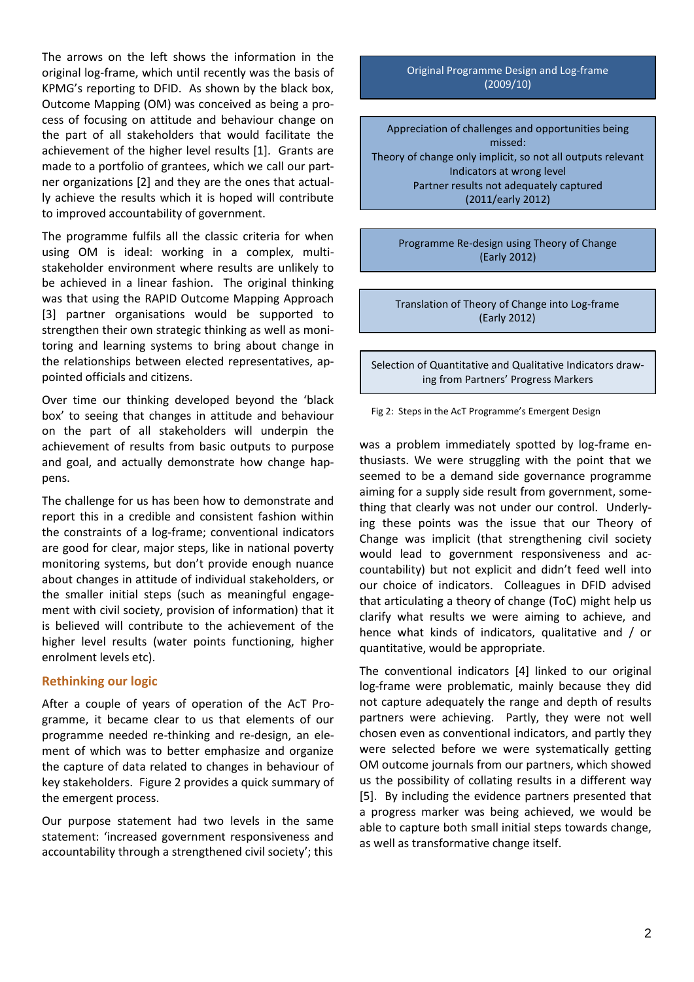The arrows on the left shows the information in the original log-frame, which until recently was the basis of KPMG's reporting to DFID. As shown by the black box, Outcome Mapping (OM) was conceived as being a process of focusing on attitude and behaviour change on the part of all stakeholders that would facilitate the achievement of the higher level results [1]. Grants are made to a portfolio of grantees, which we call our partner organizations [2] and they are the ones that actually achieve the results which it is hoped will contribute to improved accountability of government.

The programme fulfils all the classic criteria for when using OM is ideal: working in a complex, multistakeholder environment where results are unlikely to be achieved in a linear fashion. The original thinking was that using the RAPID Outcome Mapping Approach [3] partner organisations would be supported to strengthen their own strategic thinking as well as monitoring and learning systems to bring about change in the relationships between elected representatives, appointed officials and citizens.

Over time our thinking developed beyond the 'black box' to seeing that changes in attitude and behaviour on the part of all stakeholders will underpin the achievement of results from basic outputs to purpose and goal, and actually demonstrate how change happens.

The challenge for us has been how to demonstrate and report this in a credible and consistent fashion within the constraints of a log-frame; conventional indicators are good for clear, major steps, like in national poverty monitoring systems, but don't provide enough nuance about changes in attitude of individual stakeholders, or the smaller initial steps (such as meaningful engagement with civil society, provision of information) that it is believed will contribute to the achievement of the higher level results (water points functioning, higher enrolment levels etc).

### **Rethinking our logic**

After a couple of years of operation of the AcT Programme, it became clear to us that elements of our programme needed re-thinking and re-design, an element of which was to better emphasize and organize the capture of data related to changes in behaviour of key stakeholders. Figure 2 provides a quick summary of the emergent process.

Our purpose statement had two levels in the same statement: 'increased government responsiveness and accountability through a strengthened civil society'; this

#### Original Programme Design and Log-frame (2009/10)

Appreciation of challenges and opportunities being missed: Theory of change only implicit, so not all outputs relevant Indicators at wrong level Partner results not adequately captured (2011/early 2012)

Programme Re-design using Theory of Change (Early 2012)

Translation of Theory of Change into Log-frame (Early 2012)

Selection of Quantitative and Qualitative Indicators drawing from Partners' Progress Markers

Fig 2: Steps in the AcT Programme's Emergent Design

was a problem immediately spotted by log-frame enthusiasts. We were struggling with the point that we seemed to be a demand side governance programme aiming for a supply side result from government, something that clearly was not under our control. Underlying these points was the issue that our Theory of Change was implicit (that strengthening civil society would lead to government responsiveness and accountability) but not explicit and didn't feed well into our choice of indicators. Colleagues in DFID advised that articulating a theory of change (ToC) might help us clarify what results we were aiming to achieve, and hence what kinds of indicators, qualitative and / or quantitative, would be appropriate.

The conventional indicators [4] linked to our original log-frame were problematic, mainly because they did not capture adequately the range and depth of results partners were achieving. Partly, they were not well chosen even as conventional indicators, and partly they were selected before we were systematically getting OM outcome journals from our partners, which showed us the possibility of collating results in a different way [5]. By including the evidence partners presented that a progress marker was being achieved, we would be able to capture both small initial steps towards change, as well as transformative change itself.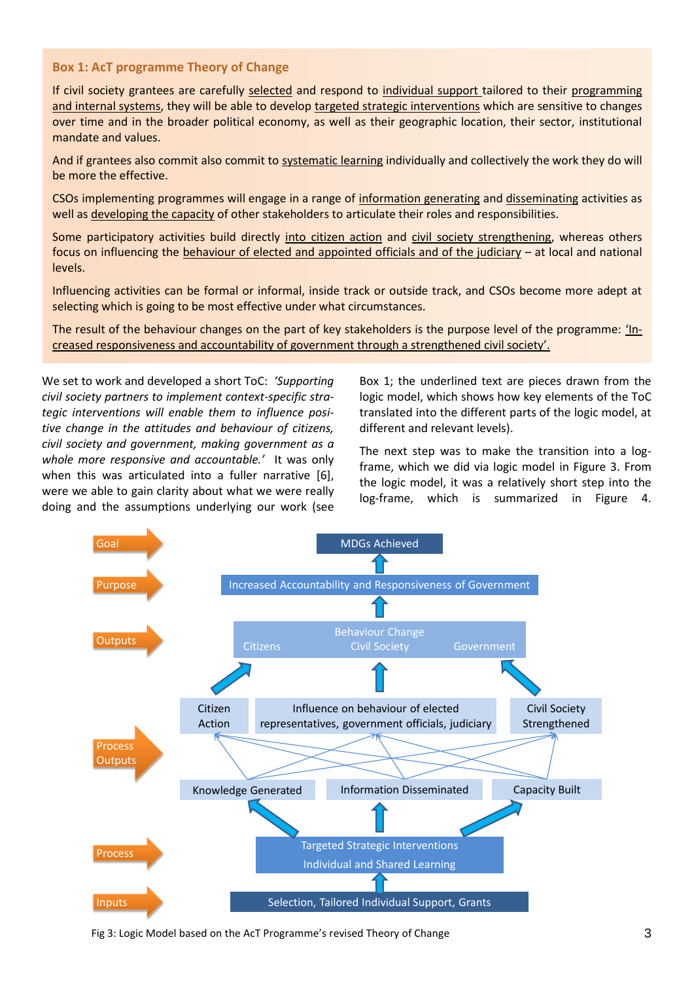### **Box 1: AcT programme Theory of Change**

If civil society grantees are carefully selected and respond to individual support tailored to their programming and internal systems, they will be able to develop targeted strategic interventions which are sensitive to changes over time and in the broader political economy, as well as their geographic location, their sector, institutional mandate and values.

And if grantees also commit also commit to systematic learning individually and collectively the work they do will be more the effective.

CSOs implementing programmes will engage in a range of information generating and disseminating activities as well as developing the capacity of other stakeholders to articulate their roles and responsibilities.

Some participatory activities build directly into citizen action and civil society strengthening, whereas others focus on influencing the behaviour of elected and appointed officials and of the judiciary – at local and national levels.

Influencing activities can be formal or informal, inside track or outside track, and CSOs become more adept at selecting which is going to be most effective under what circumstances.

The result of the behaviour changes on the part of key stakeholders is the purpose level of the programme: 'Increased responsiveness and accountability of government through a strengthened civil society'.

We set to work and developed a short ToC: *'Supporting civil society partners to implement context-specific strategic interventions will enable them to influence positive change in the attitudes and behaviour of citizens, civil society and government, making government as a whole more responsive and accountable.'* It was only when this was articulated into a fuller narrative [6], were we able to gain clarity about what we were really doing and the assumptions underlying our work (see

Box 1; the underlined text are pieces drawn from the logic model, which shows how key elements of the ToC translated into the different parts of the logic model, at different and relevant levels).

The next step was to make the transition into a logframe, which we did via logic model in Figure 3. From the logic model, it was a relatively short step into the log-frame, which is summarized in Figure 4.



Fig 3: Logic Model based on the AcT Programme's revised Theory of Change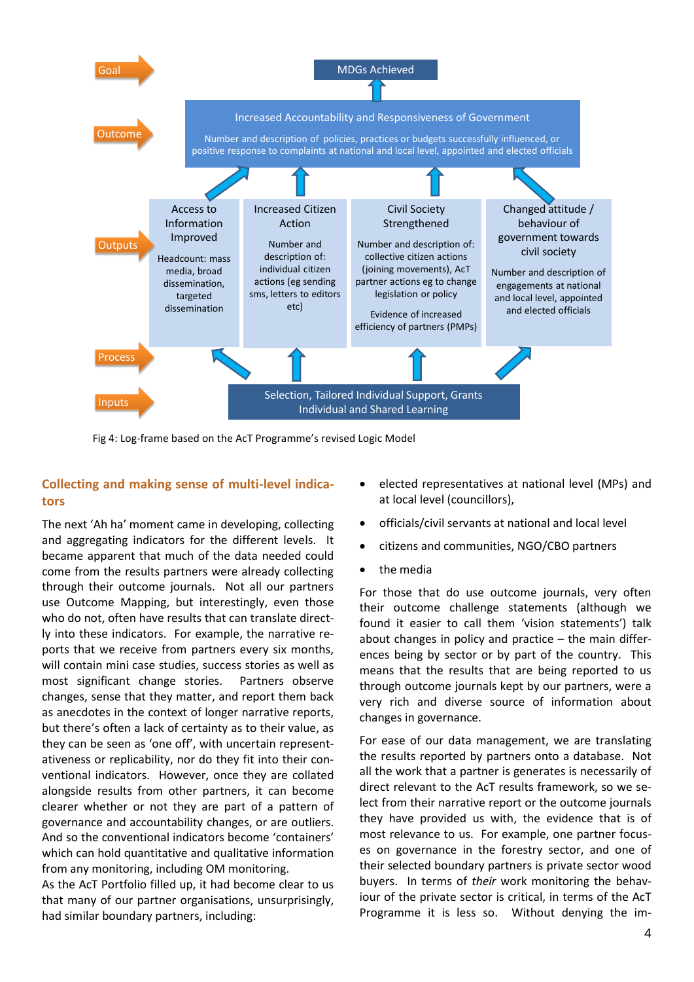

Fig 4: Log-frame based on the AcT Programme's revised Logic Model

# **Collecting and making sense of multi-level indicators**

The next 'Ah ha' moment came in developing, collecting and aggregating indicators for the different levels. It became apparent that much of the data needed could come from the results partners were already collecting through their outcome journals. Not all our partners use Outcome Mapping, but interestingly, even those who do not, often have results that can translate directly into these indicators. For example, the narrative reports that we receive from partners every six months, will contain mini case studies, success stories as well as most significant change stories. Partners observe changes, sense that they matter, and report them back as anecdotes in the context of longer narrative reports, but there's often a lack of certainty as to their value, as they can be seen as 'one off', with uncertain representativeness or replicability, nor do they fit into their conventional indicators. However, once they are collated alongside results from other partners, it can become clearer whether or not they are part of a pattern of governance and accountability changes, or are outliers. And so the conventional indicators become 'containers' which can hold quantitative and qualitative information from any monitoring, including OM monitoring.

As the AcT Portfolio filled up, it had become clear to us that many of our partner organisations, unsurprisingly, had similar boundary partners, including:

- elected representatives at national level (MPs) and at local level (councillors),
- officials/civil servants at national and local level
- citizens and communities, NGO/CBO partners
- the media

For those that do use outcome journals, very often their outcome challenge statements (although we found it easier to call them 'vision statements') talk about changes in policy and practice – the main differences being by sector or by part of the country. This means that the results that are being reported to us through outcome journals kept by our partners, were a very rich and diverse source of information about changes in governance.

For ease of our data management, we are translating the results reported by partners onto a database. Not all the work that a partner is generates is necessarily of direct relevant to the AcT results framework, so we select from their narrative report or the outcome journals they have provided us with, the evidence that is of most relevance to us. For example, one partner focuses on governance in the forestry sector, and one of their selected boundary partners is private sector wood buyers. In terms of *their* work monitoring the behaviour of the private sector is critical, in terms of the AcT Programme it is less so. Without denying the im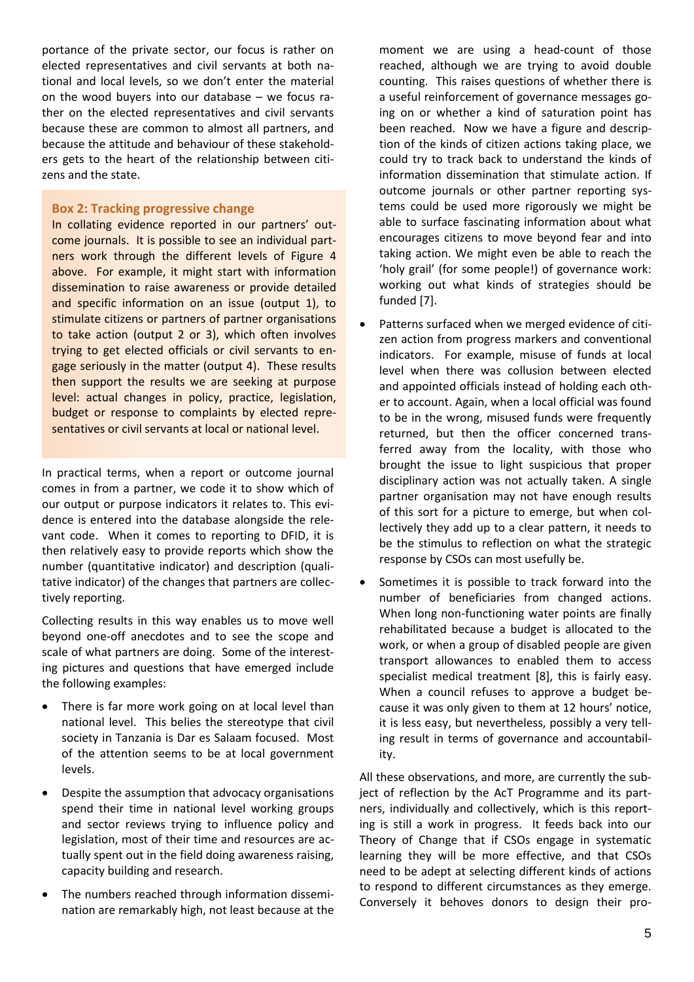portance of the private sector, our focus is rather on elected representatives and civil servants at both national and local levels, so we don't enter the material on the wood buyers into our database – we focus rather on the elected representatives and civil servants because these are common to almost all partners, and because the attitude and behaviour of these stakeholders gets to the heart of the relationship between citizens and the state.

### **Box 2: Tracking progressive change**

In collating evidence reported in our partners' outcome journals. It is possible to see an individual partners work through the different levels of Figure 4 above. For example, it might start with information dissemination to raise awareness or provide detailed and specific information on an issue (output 1), to stimulate citizens or partners of partner organisations to take action (output 2 or 3), which often involves trying to get elected officials or civil servants to engage seriously in the matter (output 4). These results then support the results we are seeking at purpose level: actual changes in policy, practice, legislation, budget or response to complaints by elected representatives or civil servants at local or national level.

In practical terms, when a report or outcome journal comes in from a partner, we code it to show which of our output or purpose indicators it relates to. This evidence is entered into the database alongside the relevant code. When it comes to reporting to DFID, it is then relatively easy to provide reports which show the number (quantitative indicator) and description (qualitative indicator) of the changes that partners are collectively reporting.

Collecting results in this way enables us to move well beyond one-off anecdotes and to see the scope and scale of what partners are doing. Some of the interesting pictures and questions that have emerged include the following examples:

- There is far more work going on at local level than national level. This belies the stereotype that civil society in Tanzania is Dar es Salaam focused. Most of the attention seems to be at local government levels.
- Despite the assumption that advocacy organisations spend their time in national level working groups and sector reviews trying to influence policy and legislation, most of their time and resources are actually spent out in the field doing awareness raising, capacity building and research.
- The numbers reached through information dissemination are remarkably high, not least because at the

moment we are using a head-count of those reached, although we are trying to avoid double counting. This raises questions of whether there is a useful reinforcement of governance messages going on or whether a kind of saturation point has been reached. Now we have a figure and description of the kinds of citizen actions taking place, we could try to track back to understand the kinds of information dissemination that stimulate action. If outcome journals or other partner reporting systems could be used more rigorously we might be able to surface fascinating information about what encourages citizens to move beyond fear and into taking action. We might even be able to reach the 'holy grail' (for some people!) of governance work: working out what kinds of strategies should be funded [7].

- Patterns surfaced when we merged evidence of citizen action from progress markers and conventional indicators. For example, misuse of funds at local level when there was collusion between elected and appointed officials instead of holding each other to account. Again, when a local official was found to be in the wrong, misused funds were frequently returned, but then the officer concerned transferred away from the locality, with those who brought the issue to light suspicious that proper disciplinary action was not actually taken. A single partner organisation may not have enough results of this sort for a picture to emerge, but when collectively they add up to a clear pattern, it needs to be the stimulus to reflection on what the strategic response by CSOs can most usefully be.
- Sometimes it is possible to track forward into the number of beneficiaries from changed actions. When long non-functioning water points are finally rehabilitated because a budget is allocated to the work, or when a group of disabled people are given transport allowances to enabled them to access specialist medical treatment [8], this is fairly easy. When a council refuses to approve a budget because it was only given to them at 12 hours' notice, it is less easy, but nevertheless, possibly a very telling result in terms of governance and accountability.

All these observations, and more, are currently the subject of reflection by the AcT Programme and its partners, individually and collectively, which is this reporting is still a work in progress. It feeds back into our Theory of Change that if CSOs engage in systematic learning they will be more effective, and that CSOs need to be adept at selecting different kinds of actions to respond to different circumstances as they emerge. Conversely it behoves donors to design their pro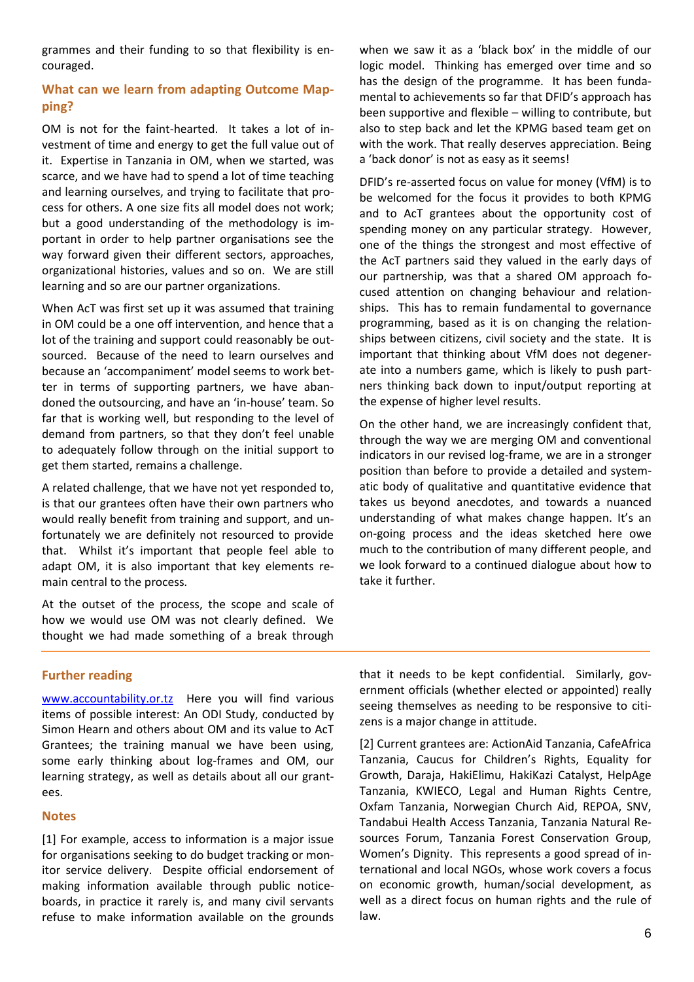grammes and their funding to so that flexibility is encouraged.

# **What can we learn from adapting Outcome Mapping?**

OM is not for the faint-hearted. It takes a lot of investment of time and energy to get the full value out of it. Expertise in Tanzania in OM, when we started, was scarce, and we have had to spend a lot of time teaching and learning ourselves, and trying to facilitate that process for others. A one size fits all model does not work; but a good understanding of the methodology is important in order to help partner organisations see the way forward given their different sectors, approaches, organizational histories, values and so on. We are still learning and so are our partner organizations.

When AcT was first set up it was assumed that training in OM could be a one off intervention, and hence that a lot of the training and support could reasonably be outsourced. Because of the need to learn ourselves and because an 'accompaniment' model seems to work better in terms of supporting partners, we have abandoned the outsourcing, and have an 'in-house' team. So far that is working well, but responding to the level of demand from partners, so that they don't feel unable to adequately follow through on the initial support to get them started, remains a challenge.

A related challenge, that we have not yet responded to, is that our grantees often have their own partners who would really benefit from training and support, and unfortunately we are definitely not resourced to provide that. Whilst it's important that people feel able to adapt OM, it is also important that key elements remain central to the process.

At the outset of the process, the scope and scale of how we would use OM was not clearly defined. We thought we had made something of a break through

when we saw it as a 'black box' in the middle of our logic model. Thinking has emerged over time and so has the design of the programme. It has been fundamental to achievements so far that DFID's approach has been supportive and flexible – willing to contribute, but also to step back and let the KPMG based team get on with the work. That really deserves appreciation. Being a 'back donor' is not as easy as it seems!

DFID's re-asserted focus on value for money (VfM) is to be welcomed for the focus it provides to both KPMG and to AcT grantees about the opportunity cost of spending money on any particular strategy. However, one of the things the strongest and most effective of the AcT partners said they valued in the early days of our partnership, was that a shared OM approach focused attention on changing behaviour and relationships. This has to remain fundamental to governance programming, based as it is on changing the relationships between citizens, civil society and the state. It is important that thinking about VfM does not degenerate into a numbers game, which is likely to push partners thinking back down to input/output reporting at the expense of higher level results.

On the other hand, we are increasingly confident that, through the way we are merging OM and conventional indicators in our revised log-frame, we are in a stronger position than before to provide a detailed and systematic body of qualitative and quantitative evidence that takes us beyond anecdotes, and towards a nuanced understanding of what makes change happen. It's an on-going process and the ideas sketched here owe much to the contribution of many different people, and we look forward to a continued dialogue about how to take it further.

# **Further reading**

[www.accountability.or.tz](http://www.accountability.or.tz/) Here you will find various items of possible interest: An ODI Study, conducted by Simon Hearn and others about OM and its value to AcT Grantees; the training manual we have been using, some early thinking about log-frames and OM, our learning strategy, as well as details about all our grantees.

### **Notes**

[1] For example, access to information is a major issue for organisations seeking to do budget tracking or monitor service delivery. Despite official endorsement of making information available through public noticeboards, in practice it rarely is, and many civil servants refuse to make information available on the grounds

that it needs to be kept confidential. Similarly, government officials (whether elected or appointed) really seeing themselves as needing to be responsive to citizens is a major change in attitude.

[2] Current grantees are: ActionAid Tanzania, CafeAfrica Tanzania, Caucus for Children's Rights, Equality for Growth, Daraja, HakiElimu, HakiKazi Catalyst, HelpAge Tanzania, KWIECO, Legal and Human Rights Centre, Oxfam Tanzania, Norwegian Church Aid, REPOA, SNV, Tandabui Health Access Tanzania, Tanzania Natural Resources Forum, Tanzania Forest Conservation Group, Women's Dignity. This represents a good spread of international and local NGOs, whose work covers a focus on economic growth, human/social development, as well as a direct focus on human rights and the rule of law.